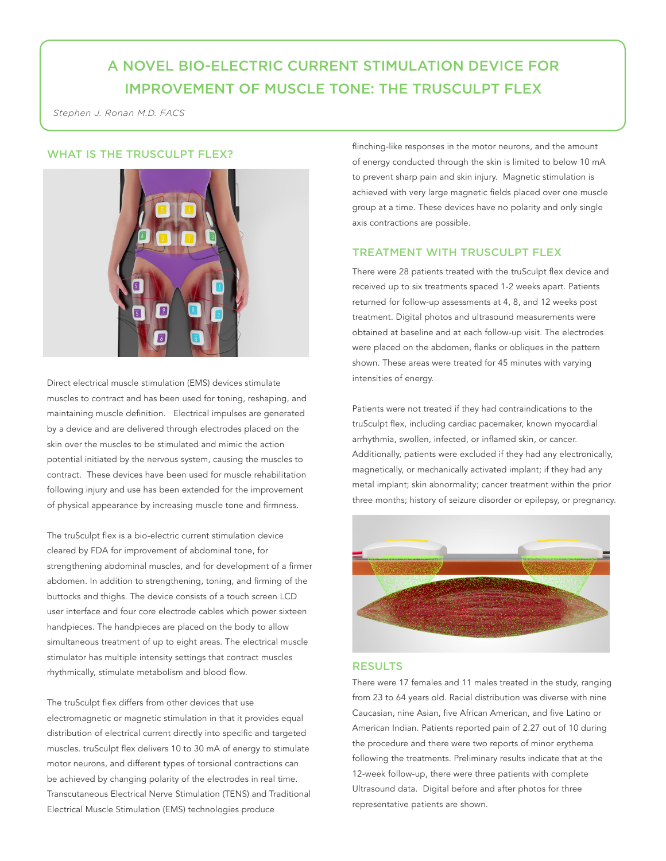# A NOVEL BIO-ELECTRIC CURRENT STIMULATION DEVICE FOR IMPROVEMENT OF MUSCLE TONE: THE TRUSCULPT FLEX

*Stephen J. Ronan M.D. FACS*

## WHAT IS THE TRUSCULPT FLEX?



Direct electrical muscle stimulation (EMS) devices stimulate muscles to contract and has been used for toning, reshaping, and maintaining muscle definition. Electrical impulses are generated by a device and are delivered through electrodes placed on the skin over the muscles to be stimulated and mimic the action potential initiated by the nervous system, causing the muscles to contract. These devices have been used for muscle rehabilitation following injury and use has been extended for the improvement of physical appearance by increasing muscle tone and firmness.

The truSculpt flex is a bio-electric current stimulation device cleared by FDA for improvement of abdominal tone, for strengthening abdominal muscles, and for development of a firmer abdomen. In addition to strengthening, toning, and firming of the buttocks and thighs. The device consists of a touch screen LCD user interface and four core electrode cables which power sixteen handpieces. The handpieces are placed on the body to allow simultaneous treatment of up to eight areas. The electrical muscle stimulator has multiple intensity settings that contract muscles rhythmically, stimulate metabolism and blood flow.

The truSculpt flex differs from other devices that use electromagnetic or magnetic stimulation in that it provides equal distribution of electrical current directly into specific and targeted muscles. truSculpt flex delivers 10 to 30 mA of energy to stimulate motor neurons, and different types of torsional contractions can be achieved by changing polarity of the electrodes in real time. Transcutaneous Electrical Nerve Stimulation (TENS) and Traditional Electrical Muscle Stimulation (EMS) technologies produce

flinching-like responses in the motor neurons, and the amount of energy conducted through the skin is limited to below 10 mA to prevent sharp pain and skin injury. Magnetic stimulation is achieved with very large magnetic fields placed over one muscle group at a time. These devices have no polarity and only single axis contractions are possible.

#### TREATMENT WITH TRUSCULPT FLEX

There were 28 patients treated with the truSculpt flex device and received up to six treatments spaced 1-2 weeks apart. Patients returned for follow-up assessments at 4, 8, and 12 weeks post treatment. Digital photos and ultrasound measurements were obtained at baseline and at each follow-up visit. The electrodes were placed on the abdomen, flanks or obliques in the pattern shown. These areas were treated for 45 minutes with varying intensities of energy.

Patients were not treated if they had contraindications to the truSculpt flex, including cardiac pacemaker, known myocardial arrhythmia, swollen, infected, or inflamed skin, or cancer. Additionally, patients were excluded if they had any electronically, magnetically, or mechanically activated implant; if they had any metal implant; skin abnormality; cancer treatment within the prior three months; history of seizure disorder or epilepsy, or pregnancy.



#### RESULTS

There were 17 females and 11 males treated in the study, ranging from 23 to 64 years old. Racial distribution was diverse with nine Caucasian, nine Asian, five African American, and five Latino or American Indian. Patients reported pain of 2.27 out of 10 during the procedure and there were two reports of minor erythema following the treatments. Preliminary results indicate that at the 12-week follow-up, there were three patients with complete Ultrasound data. Digital before and after photos for three representative patients are shown.